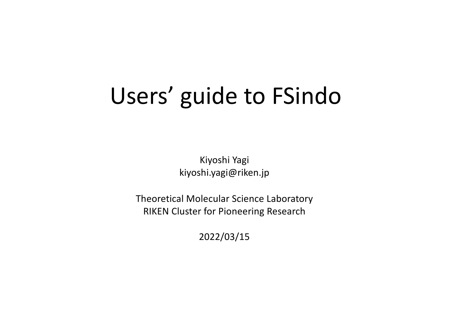# Users' guide to FSindo

Kiyoshi Yagi kiyoshi.yagi@riken.jp

Theoretical Molecular Science Laboratory RIKEN Cluster for Pioneering Research

2022/03/15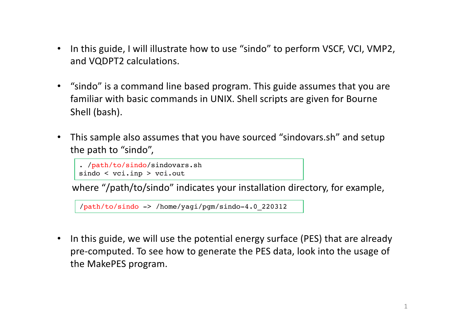- In this guide, I will illustrate how to use "sindo" to perform VSCF, VCI, VMP2, and VQDPT2 calculations.
- "sindo" is a command line based program. This guide assumes that you are familiar with basic commands in UNIX. Shell scripts are given for Bourne Shell (bash).
- This sample also assumes that you have sourced "sindovars.sh" and setup the path to "sindo",

```
. /path/to/sindo/sindovars.sh
sindo < vci.inp > vci.out
```
where "/path/to/sindo" indicates your installation directory, for example,

/path/to/sindo -> /home/yagi/pgm/sindo-4.0\_220312

• In this guide, we will use the potential energy surface (PES) that are already pre-computed. To see how to generate the PES data, look into the usage of the MakePES program.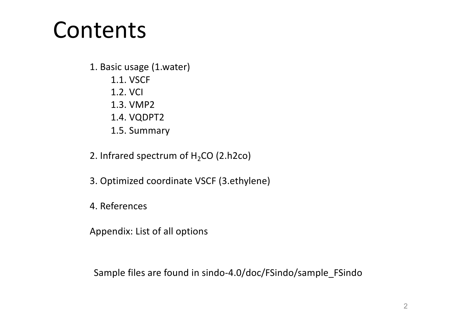# Contents

1. Basic usage (1.water)

- 1.1. VSCF
- 1.2. VCI
- 1.3. VMP2
- 1.4. VQDPT2
- 1.5. Summary
- 2. Infrared spectrum of  $H_2CO$  (2.h2co)
- 3. Optimized coordinate VSCF (3.ethylene)
- 4. References
- Appendix: List of all options

Sample files are found in sindo-4.0/doc/FSindo/sample\_FSindo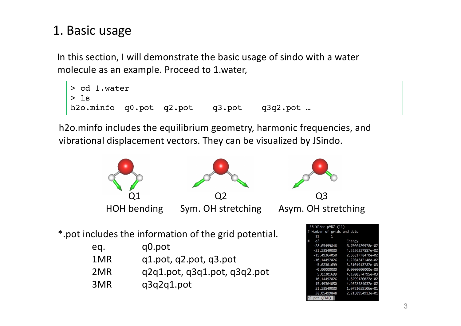# 1. Basic usage

In this section, I will demonstrate the basic usage of sindo with a water molecule as an example. Proceed to 1.water,



h2o.minfo includes the equilibrium geometry, harmonic frequencies, and vibrational displacement vectors. They can be visualized by JSindo.

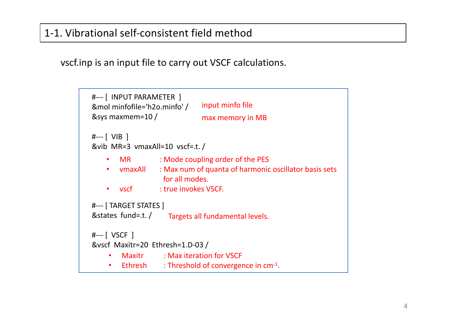## 1-1. Vibrational self-consistent field method

vscf.inp is an input file to carry out VSCF calculations.

```
#--- [ INPUT PARAMETER ] 
&mol minfofile='h2o.minfo' / 
&sys maxmem=10 /
#--- [ VIB ] 
&vib MR=3 vmaxAll=10 vscf=.t. /
#--- [ TARGET STATES ] 
&states fund=.t. /
#--- [ VSCF ] 
&vscf Maxitr=20 Ethresh=1.D-03 /
                               input minfo file
                               max memory in MB
    • MR : Mode coupling order of the PES
    • vmaxAll : Max num of quanta of harmonic oscillator basis sets 
                    for all modes.
    • vscf : true invokes VSCF.
                     Targets all fundamental levels.
     • Maxitr : Max iteration for VSCF
     • Ethresh : Threshold of convergence in cm<sup>-1</sup>.
```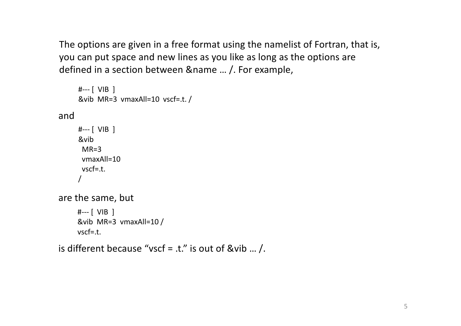The options are given in a free format using the namelist of Fortran, that is, you can put space and new lines as you like as long as the options are defined in a section between &name … /. For example,

```
#--- [ VIB ] 
     &vib MR=3 vmaxAll=10 vscf=.t. /
and 
     #--- [ VIB ] 
     &vib
      MR=3vmaxAll=10
      vscf=.t.
      /
are the same, but 
     #--- [ VIB ] 
     &vib MR=3 vmaxAll=10 /
     vscf=.t.
```

```
is different because "vscf = .t." is out of &vib ... /.
```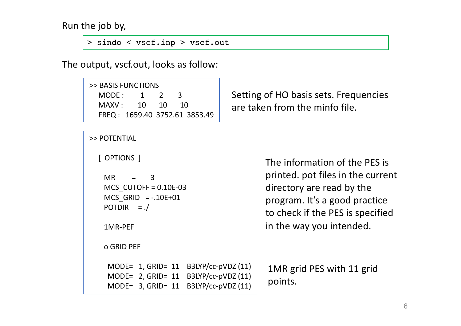Run the job by,

```
> sindo < vscf.inp > vscf.out
```
The output, vscf.out, looks as follow:

```
>> BASIS FUNCTIONS
 MODE: 1 2 3
 MAXV : 10 10 10
 FREQ : 1659.40 3752.61 3853.49
```
Setting of HO basis sets. Frequencies are taken from the minfo file.

```
>> POTENTIAL
```

```
[ OPTIONS ]
```

```
MR = 3MCS CUTOFF = 0.10E-03
MCS GRID = -.10E+01
POTDIR = ./
```
1MR-PEF

o GRID PEF

MODE= 1, GRID= 11 B3LYP/cc-pVDZ (11) MODE= 2, GRID= 11 B3LYP/cc-pVDZ (11) MODE= 3, GRID= 11 B3LYP/cc-pVDZ (11)

The information of the PES is printed. pot files in the current directory are read by the program. It's a good practice to check if the PES is specified in the way you intended.

1MR grid PES with 11 grid points.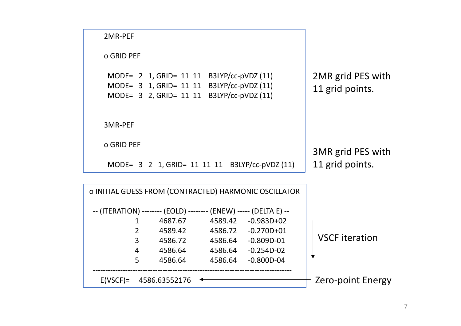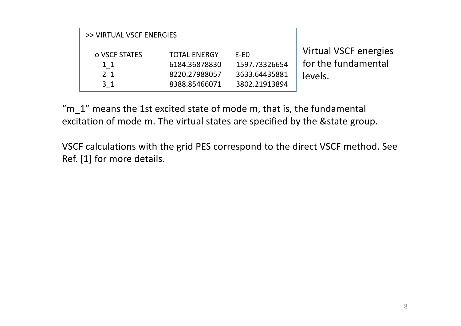| >> VIRTUAL VSCF ENERGIES                                    |                                                                        |                                                           |                                                         |
|-------------------------------------------------------------|------------------------------------------------------------------------|-----------------------------------------------------------|---------------------------------------------------------|
| o VSCF STATES<br>$1\,1$<br>2 <sub>1</sub><br>3 <sub>1</sub> | <b>TOTAL ENERGY</b><br>6184.36878830<br>8220.27988057<br>8388.85466071 | $E-EO$<br>1597.73326654<br>3633.64435881<br>3802.21913894 | Virtual VSCF energies<br>for the fundamental<br>levels. |

"m\_1" means the 1st excited state of mode m, that is, the fundamental excitation of mode m. The virtual states are specified by the &state group.

VSCF calculations with the grid PES correspond to the direct VSCF method. See Ref. [1] for more details.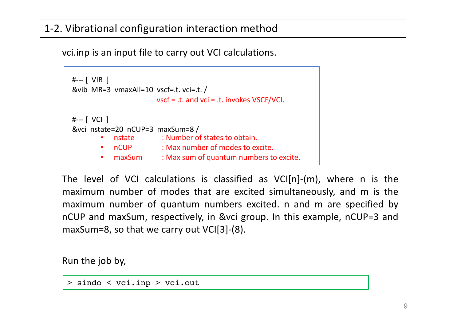## 1-2. Vibrational configuration interaction method

vci.inp is an input file to carry out VCI calculations.

```
#--- [ VIB ] 
&vib MR=3 vmaxAll=10 vscf=.t. vci=.t. /
#--- [ VCI ] 
&vci nstate=20 nCUP=3 maxSum=8 /
                       vscf = .t. and vci = .t. invokes VSCF/VCI.
       • nstate : Number of states to obtain.
           • nCUP : Max number of modes to excite.
           maxSum : Max sum of quantum numbers to excite.
```
The level of VCI calculations is classified as VCI[n]-(m), where n is the maximum number of modes that are excited simultaneously, and m is the maximum number of quantum numbers excited. n and m are specified by nCUP and maxSum, respectively, in &vci group. In this example, nCUP=3 and maxSum=8, so that we carry out VCI[3]-(8).

Run the job by,

> sindo < vci.inp > vci.out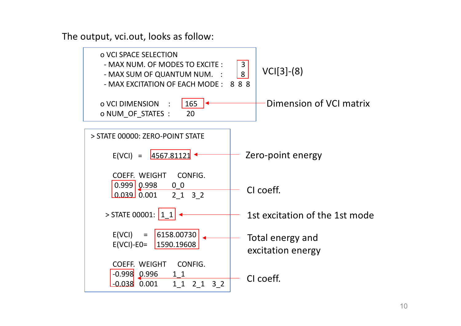The output, vci.out, looks as follow:

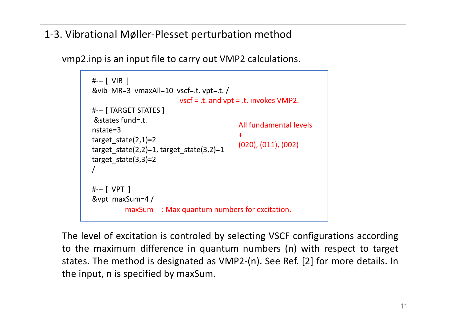## 1-3. Vibrational Møller-Plesset perturbation method

vmp2.inp is an input file to carry out VMP2 calculations.

```
#--- [ VIB ] 
&vib MR=3 vmaxAll=10 vscf=.t. vpt=.t. /
#--- [ TARGET STATES ]
&states fund=.t. 
nstate=3 
target state(2,1)=2target state(2,2)=1, target state(3,2)=1
target state(3,3)=2/
#--- [ VPT ] 
&vpt maxSum=4 /
                          vscf = .t. and vpt = .t. invokes VMP2.
          maxSum : Max quantum numbers for excitation.
                                           All fundamental levels
                                            +
                                           (020), (011), (002)
```
The level of excitation is controled by selecting VSCF configurations according to the maximum difference in quantum numbers (n) with respect to target states. The method is designated as VMP2-(n). See Ref. [2] for more details. In the input, n is specified by maxSum.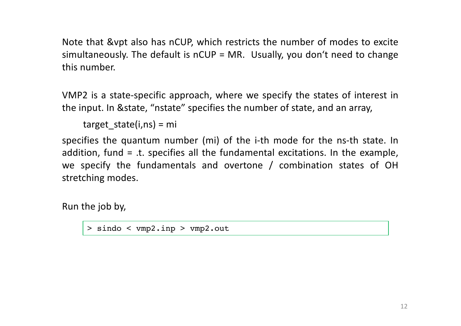Note that &vpt also has nCUP, which restricts the number of modes to excite simultaneously. The default is nCUP = MR. Usually, you don't need to change this number.

VMP2 is a state-specific approach, where we specify the states of interest in the input. In &state, "nstate" specifies the number of state, and an array,

target  $state(i,ns) = mi$ 

specifies the quantum number (mi) of the i-th mode for the ns-th state. In addition, fund = .t. specifies all the fundamental excitations. In the example, we specify the fundamentals and overtone / combination states of OH stretching modes.

Run the job by,

> sindo < vmp2.inp > vmp2.out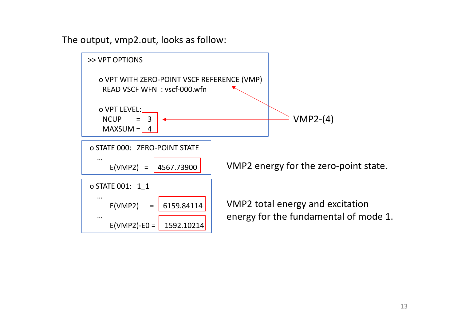The output, vmp2.out, looks as follow:

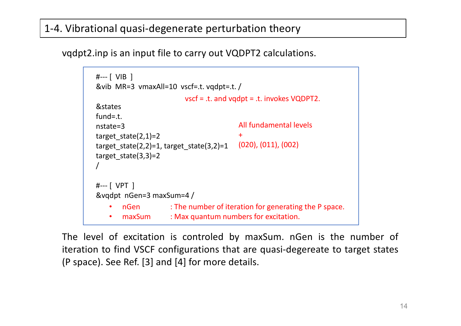## 1-4. Vibrational quasi-degenerate perturbation theory

vqdpt2.inp is an input file to carry out VQDPT2 calculations.

```
#--- [ VIB ] 
&vib MR=3 vmaxAll=10 vscf=.t. vqdpt=.t. /
&states 
fund=.t. 
nstate=3 
target state(2,1)=2target state(2,2)=1, target state(3,2)=1
target state(3,3)=2/
#--- [ VPT ] 
&vqdpt nGen=3 maxSum=4 /
                         vscf = .t. and vqdpt = .t. invokes VQDPT2.
       • nGen : The number of iteration for generating the P space.
       • maxSum : Max quantum numbers for excitation.
                                         All fundamental levels
                                         +
                                         (020), (011), (002)
```
The level of excitation is controled by maxSum. nGen is the number of iteration to find VSCF configurations that are quasi-degereate to target states (P space). See Ref. [3] and [4] for more details.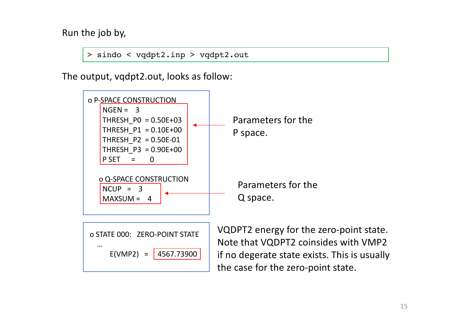Run the job by,

> sindo < vqdpt2.inp > vqdpt2.out

The output, vqdpt2.out, looks as follow:



if no degerate state exists. This is usually the case for the zero-point state.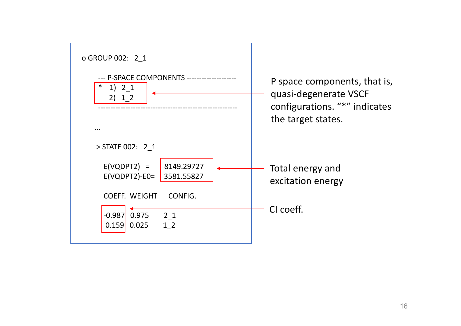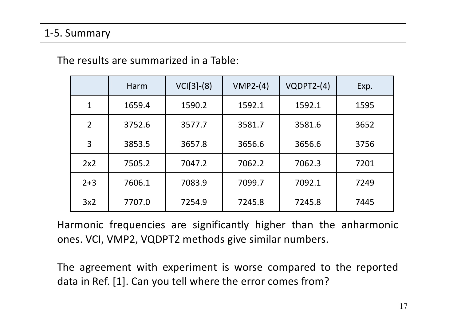## 1-5. Summary

|                | Harm   | $VCI[3]-(8)$ | $VMP2-(4)$ | $VQDPT2-(4)$ | Exp. |
|----------------|--------|--------------|------------|--------------|------|
| 1              | 1659.4 | 1590.2       | 1592.1     | 1592.1       | 1595 |
| $\overline{2}$ | 3752.6 | 3577.7       | 3581.7     | 3581.6       | 3652 |
| 3              | 3853.5 | 3657.8       | 3656.6     | 3656.6       | 3756 |
| 2x2            | 7505.2 | 7047.2       | 7062.2     | 7062.3       | 7201 |
| $2 + 3$        | 7606.1 | 7083.9       | 7099.7     | 7092.1       | 7249 |
| 3x2            | 7707.0 | 7254.9       | 7245.8     | 7245.8       | 7445 |

## The results are summarized in a Table:

Harmonic frequencies are significantly higher than the anharmonic ones. VCI, VMP2, VQDPT2 methods give similar numbers.

The agreement with experiment is worse compared to the reported data in Ref. [1]. Can you tell where the error comes from?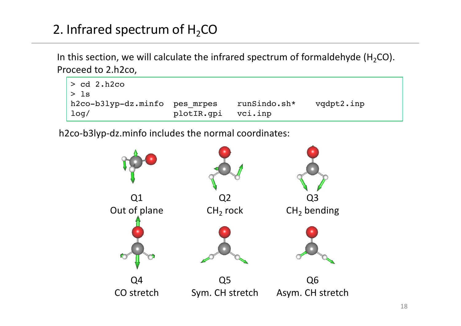# 2. Infrared spectrum of  $H_2CO$

In this section, we will calculate the infrared spectrum of formaldehyde (H<sub>2</sub>CO). Proceed to 2.h2co,



h2co-b3lyp-dz.minfo includes the normal coordinates:

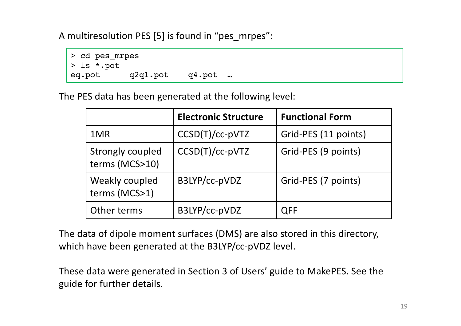A multiresolution PES [5] is found in "pes\_mrpes":



The PES data has been generated at the following level:

|                                           | <b>Electronic Structure</b> | <b>Functional Form</b> |
|-------------------------------------------|-----------------------------|------------------------|
| 1MR                                       | $CCSD(T)/cc-pVTZ$           | Grid-PES (11 points)   |
| <b>Strongly coupled</b><br>terms (MCS>10) | $CCSD(T)/cc-pVTZ$           | Grid-PES (9 points)    |
| Weakly coupled<br>terms (MCS>1)           | B3LYP/cc-pVDZ               | Grid-PES (7 points)    |
| Other terms                               | B3LYP/cc-pVDZ               | <b>QFF</b>             |

The data of dipole moment surfaces (DMS) are also stored in this directory, which have been generated at the B3LYP/cc-pVDZ level.

These data were generated in Section 3 of Users' guide to MakePES. See the guide for further details.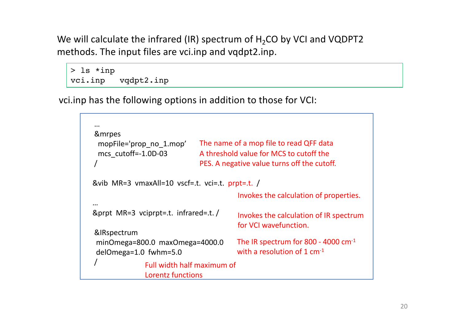We will calculate the infrared (IR) spectrum of  $H_2CO$  by VCI and VQDPT2 methods. The input files are vci.inp and vqdpt2.inp.

```
> ls *inp
vci.inp vqdpt2.inp
```
vci.inp has the following options in addition to those for VCI:

```
…
&mrpes
 mopFile='prop_no_1.mop'
 mcs_cutoff=-1.0D-03
 /
&vib MR=3 vmaxAll=10 vscf=.t. vci=.t. prpt=.t. /
…
&prpt MR=3 vciprpt=.t. infrared=.t. /
&IRspectrum
 minOmega=800.0 maxOmega=4000.0
 delOmega=1.0 fwhm=5.0
 /
                               The name of a mop file to read QFF data
                               A threshold value for MCS to cutoff the 
                               PES. A negative value turns off the cutoff.
                                           Invokes the calculation of properties.
                                           Invokes the calculation of IR spectrum 
                                           for VCI wavefunction.
                                          The IR spectrum for 800 - 4000 cm-1
                                          with a resolution of 1 cm<sup>-1</sup>Full width half maximum of 
               Lorentz functions
```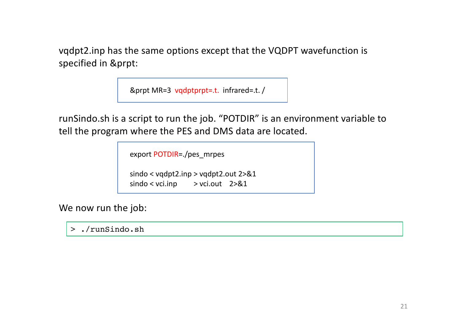vqdpt2.inp has the same options except that the VQDPT wavefunction is specified in &prpt:

&prpt MR=3 vqdptprpt=.t. infrared=.t. /

runSindo.sh is a script to run the job. "POTDIR" is an environment variable to tell the program where the PES and DMS data are located.

export POTDIR=./pes\_mrpes

sindo < vqdpt2.inp > vqdpt2.out 2>&1  $sindo <$  vci.inp  $\rightarrow$  vci.out 2>&1

We now run the job:

> ./runSindo.sh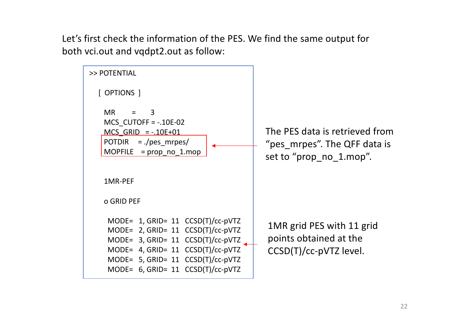Let's first check the information of the PES. We find the same output for both vci.out and vqdpt2.out as follow:

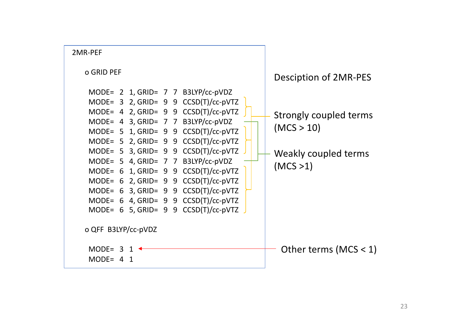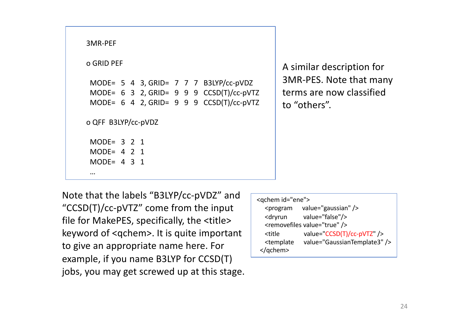| 3MR-PEF                                                     |            |  |  |  |  |  |                                                                                                                                                                           |
|-------------------------------------------------------------|------------|--|--|--|--|--|---------------------------------------------------------------------------------------------------------------------------------------------------------------------------|
|                                                             | o GRID PEF |  |  |  |  |  |                                                                                                                                                                           |
|                                                             |            |  |  |  |  |  | MODE= $5$ 4 3, GRID= $7$ 7 7 B3LYP/cc-pVDZ<br>MODE= $6 \cdot 3 \cdot 2$ , GRID= $9 \cdot 9 \cdot 9 \cdot CCSD(T)/cc-pVTZ$<br>MODE= $6$ 4 2, GRID= $9$ 9 9 CCSD(T)/cc-pVTZ |
| o QFF B3LYP/cc-pVDZ                                         |            |  |  |  |  |  |                                                                                                                                                                           |
| MODE= $3 \t2 \t1$<br>MODE= $4 \t2 \t1$<br>MODE= $4 \t3 \t1$ |            |  |  |  |  |  |                                                                                                                                                                           |
| $\cdots$                                                    |            |  |  |  |  |  |                                                                                                                                                                           |

A similar description for 3MR-PES. Note that many terms are now classified to "others".

Note that the labels "B3LYP/cc-pVDZ" and "CCSD(T)/cc-pVTZ" come from the input file for MakePES, specifically, the <title> keyword of <qchem>. It is quite important to give an appropriate name here. For example, if you name B3LYP for CCSD(T) jobs, you may get screwed up at this stage.

| <qchem id="ene"></qchem>                                              |                                          |  |  |  |  |
|-----------------------------------------------------------------------|------------------------------------------|--|--|--|--|
| <program< td=""><td>value="gaussian" <math>/</math></td></program<>   | value="gaussian" $/$                     |  |  |  |  |
|                                                                       | <dryrun value="false"></dryrun>          |  |  |  |  |
|                                                                       | <removefiles value="true"></removefiles> |  |  |  |  |
| <title< td=""><td>value="CCSD(T)/cc-pVTZ" /&gt;</td></title<>         | value="CCSD(T)/cc-pVTZ" />               |  |  |  |  |
| <template< td=""><td>value="GaussianTemplate3" /&gt;</td></template<> | value="GaussianTemplate3" />             |  |  |  |  |
|                                                                       |                                          |  |  |  |  |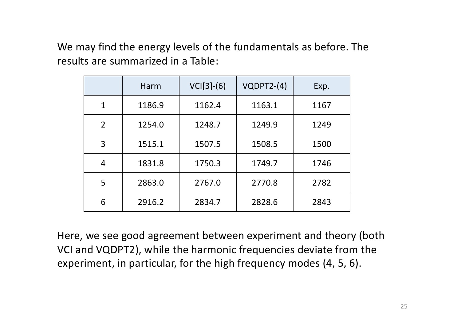We may find the energy levels of the fundamentals as before. The results are summarized in a Table:

|                | Harm   | $VCI[3]-(6)$ | $VQDPT2-(4)$ | Exp. |
|----------------|--------|--------------|--------------|------|
| $\mathbf 1$    | 1186.9 | 1162.4       | 1163.1       | 1167 |
| $\overline{2}$ | 1254.0 | 1248.7       | 1249.9       | 1249 |
| 3              | 1515.1 | 1507.5       | 1508.5       | 1500 |
| 4              | 1831.8 | 1750.3       | 1749.7       | 1746 |
| 5              | 2863.0 | 2767.0       | 2770.8       | 2782 |
| 6              | 2916.2 | 2834.7       | 2828.6       | 2843 |

Here, we see good agreement between experiment and theory (both VCI and VQDPT2), while the harmonic frequencies deviate from the experiment, in particular, for the high frequency modes (4, 5, 6).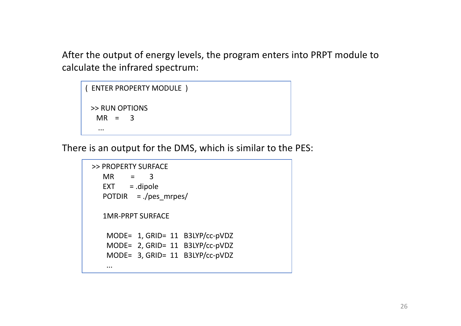After the output of energy levels, the program enters into PRPT module to calculate the infrared spectrum:

```
( ENTER PROPERTY MODULE )
 >> RUN OPTIONS
  MR = 3...
```
There is an output for the DMS, which is similar to the PES:

```
>> PROPERTY SURFACE
  MR = 3EXT = dipolePOTDIR = ./pes_mrpes/
  1MR-PRPT SURFACE
   MODE= 1, GRID= 11 B3LYP/cc-pVDZ
   MODE= 2, GRID= 11 B3LYP/cc-pVDZ
   MODE= 3, GRID= 11 B3LYP/cc-pVDZ
   ...
```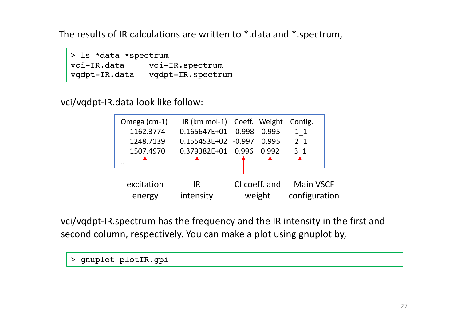The results of IR calculations are written to \*.data and \*.spectrum,

> ls \*data \*spectrum vci-IR.data vci-IR.spectrum vqdpt-IR.data vqdpt-IR.spectrum

vci/vqdpt-IR.data look like follow:



vci/vqdpt-IR.spectrum has the frequency and the IR intensity in the first and second column, respectively. You can make a plot using gnuplot by,

> gnuplot plotIR.gpi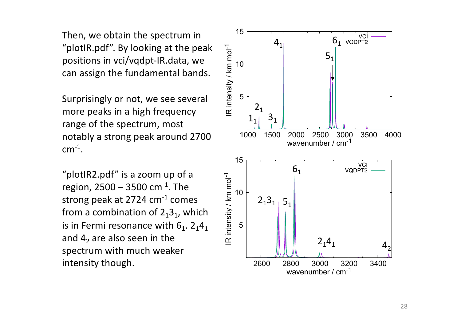Then, we obtain the spectrum in "plotIR.pdf". By looking at the peak positions in vci/vqdpt-IR.data, we can assign the fundamental bands.

Surprisingly or not, we see several more peaks in a high frequency range of the spectrum, most notably a strong peak around 2700  $cm^{-1}$ .

"plotIR2.pdf" is a zoom up of a region,  $2500 - 3500$  cm<sup>-1</sup>. The strong peak at 2724 cm-1 comes from a combination of  $2<sub>1</sub>3<sub>1</sub>$ , which is in Fermi resonance with  $6<sub>1</sub>$ . 2<sub>1</sub>4<sub>1</sub> and  $4<sub>2</sub>$  are also seen in the spectrum with much weaker intensity though.

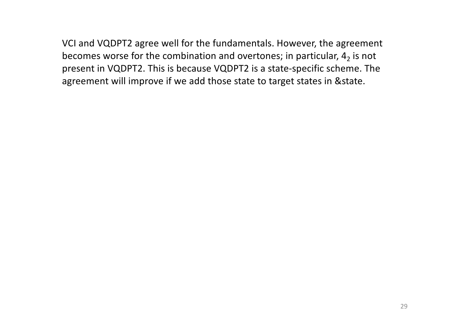VCI and VQDPT2 agree well for the fundamentals. However, the agreement becomes worse for the combination and overtones; in particular,  $4<sub>2</sub>$  is not present in VQDPT2. This is because VQDPT2 is a state-specific scheme. The agreement will improve if we add those state to target states in &state.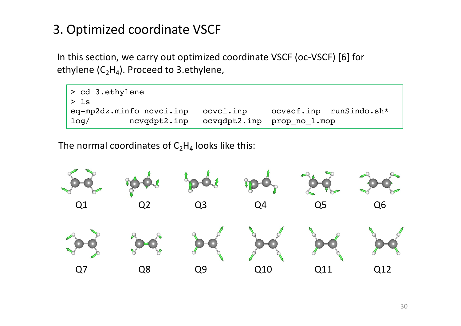# 3. Optimized coordinate VSCF

In this section, we carry out optimized coordinate VSCF (oc-VSCF) [6] for ethylene  $(C_2H_4)$ . Proceed to 3.ethylene,

| $\vert$ > cd 3.ethylene     |                                         |                         |  |
|-----------------------------|-----------------------------------------|-------------------------|--|
| $\vert > \vert$ s           |                                         |                         |  |
| $eq$ -mp2dz.minfo ncvci.inp | ocvci.inp                               | ocvscf.inp runSindo.sh* |  |
| $\vert$ log/                | ncvqdpt2.inp ocvqdpt2.inp prop no 1.mop |                         |  |

The normal coordinates of  $C_2H_4$  looks like this:

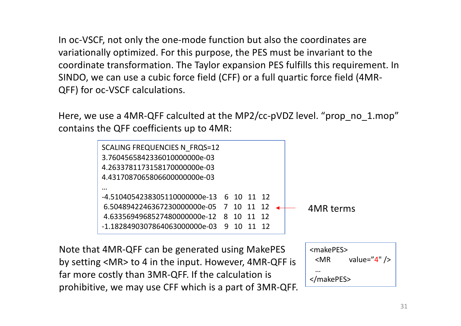In oc-VSCF, not only the one-mode function but also the coordinates are variationally optimized. For this purpose, the PES must be invariant to the coordinate transformation. The Taylor expansion PES fulfills this requirement. In SINDO, we can use a cubic force field (CFF) or a full quartic force field (4MR-QFF) for oc-VSCF calculations.

Here, we use a 4MR-QFF calculted at the MP2/cc-pVDZ level. "prop\_no\_1.mop" contains the QFF coefficients up to 4MR:



Note that 4MR-QFF can be generated using MakePES by setting <MR> to 4 in the input. However, 4MR-QFF is far more costly than 3MR-QFF. If the calculation is prohibitive, we may use CFF which is a part of 3MR-QFF.

```
<makePES>
 \langle MR value="4" />
 …
</makePES>
```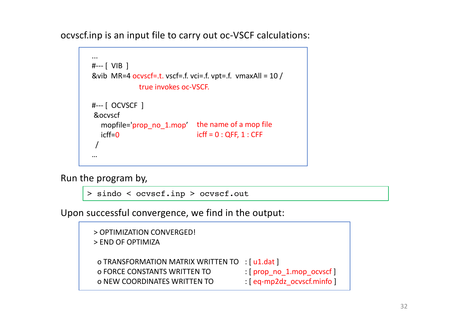ocvscf.inp is an input file to carry out oc-VSCF calculations:



Run the program by,

> sindo < ocvscf.inp > ocvscf.out

Upon successful convergence, we find in the output:

| > OPTIMIZATION CONVERGED!<br>> END OF OPTIMIZA |                                 |
|------------------------------------------------|---------------------------------|
| o TRANSFORMATION MATRIX WRITTEN TO : [u1.dat ] |                                 |
| <b>O FORCE CONSTANTS WRITTEN TO</b>            | $:[$ prop no 1.mop ocvscf $]$   |
| <b>O NEW COORDINATES WRITTEN TO</b>            | $: [eq-mp2dz]$ ocvscf.minfo $]$ |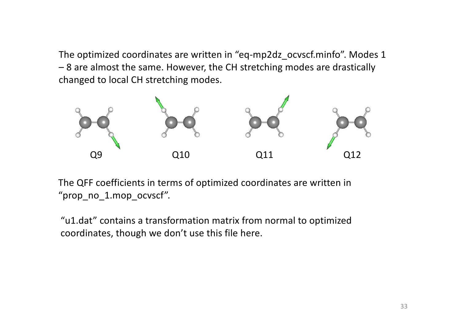The optimized coordinates are written in "eq-mp2dz\_ocvscf.minfo". Modes 1 – 8 are almost the same. However, the CH stretching modes are drastically changed to local CH stretching modes.



The QFF coefficients in terms of optimized coordinates are written in "prop\_no\_1.mop\_ocvscf".

"u1.dat" contains a transformation matrix from normal to optimized coordinates, though we don't use this file here.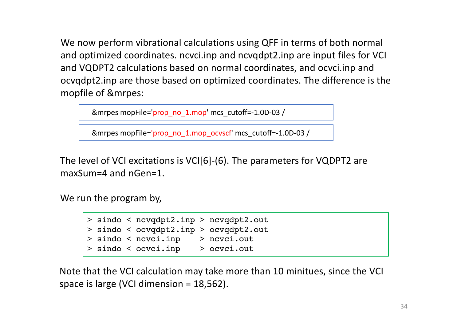We now perform vibrational calculations using QFF in terms of both normal and optimized coordinates. ncvci.inp and ncvqdpt2.inp are input files for VCI and VQDPT2 calculations based on normal coordinates, and ocvci.inp and ocvqdpt2.inp are those based on optimized coordinates. The difference is the mopfile of &mrpes:

&mrpes mopFile='prop\_no\_1.mop' mcs\_cutoff=-1.0D-03 /

&mrpes mopFile='prop\_no\_1.mop\_ocvscf' mcs\_cutoff=-1.0D-03 /

The level of VCI excitations is VCI[6]-(6). The parameters for VQDPT2 are maxSum=4 and nGen=1.

We run the program by,

> sindo < ncvqdpt2.inp > ncvqdpt2.out > sindo < ocvqdpt2.inp > ocvqdpt2.out > sindo < ncvci.inp > ncvci.out > sindo < ocvci.inp > ocvci.out

Note that the VCI calculation may take more than 10 minitues, since the VCI space is large (VCI dimension = 18,562).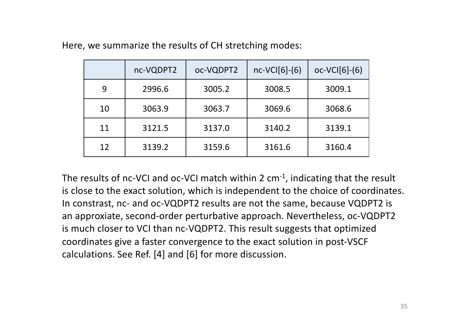|    | nc-VQDPT2 | oc-VQDPT2 | $nc-VCI[6]-(6)$ | $oc-VCI[6]-(6)$ |
|----|-----------|-----------|-----------------|-----------------|
| 9  | 2996.6    | 3005.2    | 3008.5          | 3009.1          |
| 10 | 3063.9    | 3063.7    | 3069.6          | 3068.6          |
| 11 | 3121.5    | 3137.0    | 3140.2          | 3139.1          |
| 12 | 3139.2    | 3159.6    | 3161.6          | 3160.4          |

Here, we summarize the results of CH stretching modes:

The results of nc-VCI and oc-VCI match within 2  $cm^{-1}$ , indicating that the result is close to the exact solution, which is independent to the choice of coordinates. In constrast, nc- and oc-VQDPT2 results are not the same, because VQDPT2 is an approxiate, second-order perturbative approach. Nevertheless, oc-VQDPT2 is much closer to VCI than nc-VQDPT2. This result suggests that optimized coordinates give a faster convergence to the exact solution in post-VSCF calculations. See Ref. [4] and [6] for more discussion.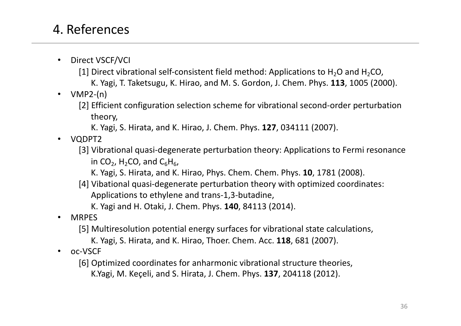# 4. References

- Direct VSCF/VCI
	- [1] Direct vibrational self-consistent field method: Applications to  $H_2O$  and  $H_2CO$ ,
		- K. Yagi, T. Taketsugu, K. Hirao, and M. S. Gordon, J. Chem. Phys. **113**, 1005 (2000).
- $\cdot$  VMP2-(n)
	- [2] Efficient configuration selection scheme for vibrational second-order perturbation theory,
		- K. Yagi, S. Hirata, and K. Hirao, J. Chem. Phys. **127**, 034111 (2007).
- VQDPT2
	- [3] Vibrational quasi-degenerate perturbation theory: Applications to Fermi resonance in  $CO<sub>2</sub>$ , H<sub>2</sub>CO, and  $C<sub>6</sub>H<sub>6</sub>$ ,
		- K. Yagi, S. Hirata, and K. Hirao, Phys. Chem. Chem. Phys. **10**, 1781 (2008).
	- [4] Vibational quasi-degenerate perturbation theory with optimized coordinates: Applications to ethylene and trans-1,3-butadine,
		- K. Yagi and H. Otaki, J. Chem. Phys. **140**, 84113 (2014).
- MRPES
	- [5] Multiresolution potential energy surfaces for vibrational state calculations,
		- K. Yagi, S. Hirata, and K. Hirao, Thoer. Chem. Acc. **118**, 681 (2007).
- oc-VSCF
	- [6] Optimized coordinates for anharmonic vibrational structure theories, K.Yagi, M. Keçeli, and S. Hirata, J. Chem. Phys. **137**, 204118 (2012).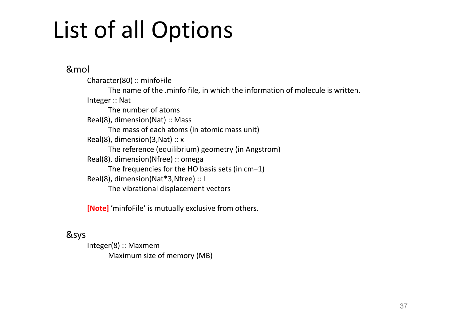# List of all Options

&mol

Character(80) :: minfoFile The name of the .minfo file, in which the information of molecule is written. Integer :: Nat The number of atoms Real(8), dimension(Nat) :: Mass The mass of each atoms (in atomic mass unit) Real(8), dimension(3, Nat)  $:: x$ The reference (equilibrium) geometry (in Angstrom) Real(8), dimension(Nfree) :: omega The frequencies for the HO basis sets (in cm−1) Real(8), dimension(Nat\*3,Nfree) :: L The vibrational displacement vectors

**[Note]** 'minfoFile' is mutually exclusive from others.

### &sys

Integer(8) :: Maxmem Maximum size of memory (MB)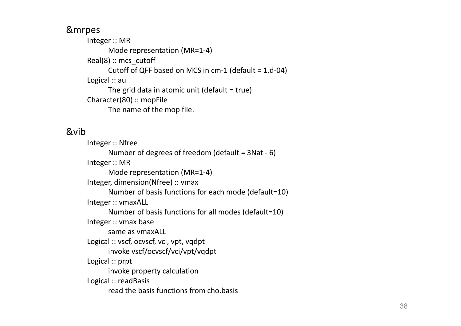### &mrpes

Integer :: MR Mode representation (MR=1-4) Real(8) :: mcs\_cutoff Cutoff of QFF based on MCS in cm-1 (default = 1.d-04) Logical :: au The grid data in atomic unit (default = true) Character(80) :: mopFile The name of the mop file.

### &vib

Integer :: Nfree Number of degrees of freedom (default = 3Nat - 6) Integer :: MR Mode representation (MR=1-4) Integer, dimension(Nfree) :: vmax Number of basis functions for each mode (default=10) Integer :: vmaxALL Number of basis functions for all modes (default=10) Integer :: vmax base same as vmaxALL Logical :: vscf, ocvscf, vci, vpt, vqdpt invoke vscf/ocvscf/vci/vpt/vqdpt Logical :: prpt invoke property calculation Logical :: readBasis read the basis functions from cho.basis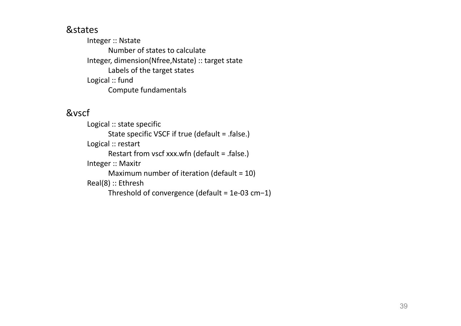### &states

Integer :: Nstate Number of states to calculate Integer, dimension(Nfree,Nstate) :: target state Labels of the target states Logical :: fund Compute fundamentals

#### &vscf

Logical :: state specific State specific VSCF if true (default = .false.) Logical :: restart Restart from vscf xxx.wfn (default = .false.) Integer :: Maxitr Maximum number of iteration (default = 10) Real(8) :: Ethresh Threshold of convergence (default = 1e-03 cm−1)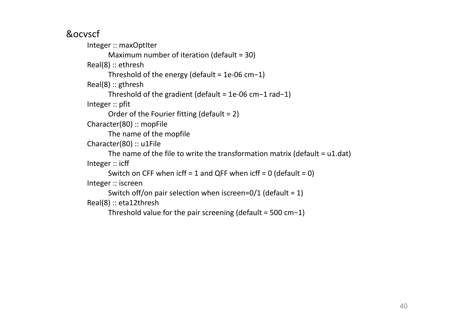&ocvscf

Integer :: maxOptIter Maximum number of iteration (default = 30) Real(8) :: ethresh Threshold of the energy (default = 1e-06 cm−1) Real(8) :: gthresh Threshold of the gradient (default = 1e-06 cm−1 rad−1) Integer :: pfit Order of the Fourier fitting (default = 2) Character(80) :: mopFile The name of the mopfile Character(80) :: u1File The name of the file to write the transformation matrix (default  $= u1.dat$ ) Integer :: icff Switch on CFF when  $\text{icff} = 1$  and QFF when  $\text{icff} = 0$  (default = 0) Integer :: iscreen Switch off/on pair selection when iscreen=0/1 (default =  $1$ ) Real(8) :: eta12thresh

Threshold value for the pair screening (default = 500 cm−1)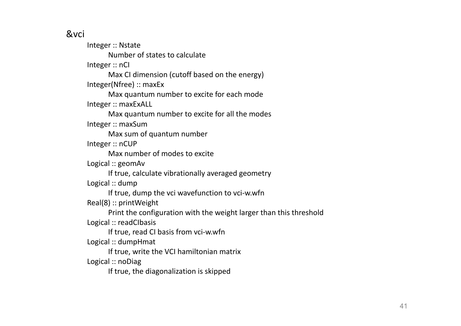### &vci

Integer :: Nstate Number of states to calculate Integer :: nCI Max CI dimension (cutoff based on the energy) Integer(Nfree) :: maxEx Max quantum number to excite for each mode Integer :: maxExALL Max quantum number to excite for all the modes Integer :: maxSum Max sum of quantum number Integer :: nCUP Max number of modes to excite Logical :: geomAv If true, calculate vibrationally averaged geometry Logical :: dump If true, dump the vci wavefunction to vci-w.wfn Real(8) :: printWeight Print the configuration with the weight larger than this threshold Logical :: readCIbasis If true, read CI basis from vci-w.wfn Logical :: dumpHmat If true, write the VCI hamiltonian matrix Logical :: noDiag If true, the diagonalization is skipped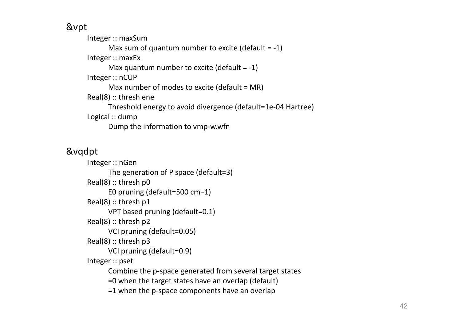&vpt

Integer :: maxSum Max sum of quantum number to excite (default  $= -1$ ) Integer :: maxEx Max quantum number to excite (default  $= -1$ ) Integer :: nCUP Max number of modes to excite (default = MR) Real(8) :: thresh ene Threshold energy to avoid divergence (default=1e-04 Hartree) Logical :: dump Dump the information to vmp-w.wfn

### &vqdpt

Integer :: nGen The generation of P space (default=3) Real(8) :: thresh p0 E0 pruning (default=500 cm−1) Real(8) :: thresh p1 VPT based pruning (default=0.1) Real(8) :: thresh p2 VCI pruning (default=0.05) Real(8) :: thresh p3 VCI pruning (default=0.9) Integer :: pset Combine the p-space generated from several target states =0 when the target states have an overlap (default) =1 when the p-space components have an overlap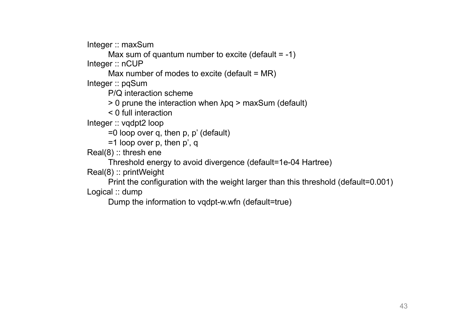Integer :: maxSum

Max sum of quantum number to excite (default  $= -1$ ) Integer :: nCUP

Max number of modes to excite (default  $= MR$ )

Integer :: pqSum

P/Q interaction scheme

> 0 prune the interaction when λpq > maxSum (default)

< 0 full interaction

Integer :: vqdpt2 loop

=0 loop over q, then p, p' (default)

=1 loop over p, then p', q

Real(8) :: thresh ene

Threshold energy to avoid divergence (default=1e-04 Hartree)

Real(8) :: printWeight

Print the configuration with the weight larger than this threshold (default=0.001) Logical :: dump

Dump the information to vqdpt-w.wfn (default=true)